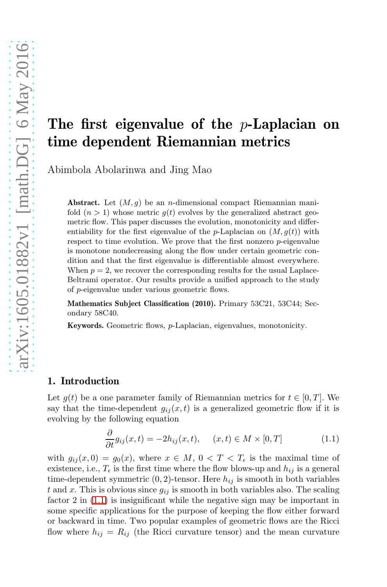# The first eigenvalue of the  $p$ -Laplacian on time dependent Riemannian metrics

Abimbola Abolarinwa and Jing Mao

**Abstract.** Let  $(M, q)$  be an *n*-dimensional compact Riemannian manifold  $(n > 1)$  whose metric  $q(t)$  evolves by the generalized abstract geometric flow. This paper discusses the evolution, monotonicity and differentiability for the first eigenvalue of the p-Laplacian on  $(M, g(t))$  with respect to time evolution. We prove that the first nonzero p-eigenvalue is monotone nondecreasing along the flow under certain geometric condition and that the first eigenvalue is differentiable almost everywhere. When  $p = 2$ , we recover the corresponding results for the usual Laplace-Beltrami operator. Our results provide a unified approach to the study of p-eigenvalue under various geometric flows.

Mathematics Subject Classification (2010). Primary 53C21, 53C44; Secondary 58C40.

Keywords. Geometric flows, p-Laplacian, eigenvalues, monotonicity.

## 1. Introduction

Let  $g(t)$  be a one parameter family of Riemannian metrics for  $t \in [0, T]$ . We say that the time-dependent  $g_{ij}(x, t)$  is a generalized geometric flow if it is evolving by the following equation

<span id="page-0-0"></span>
$$
\frac{\partial}{\partial t}g_{ij}(x,t) = -2h_{ij}(x,t), \quad (x,t) \in M \times [0,T]
$$
\n(1.1)

with  $g_{ij}(x,0) = g_0(x)$ , where  $x \in M$ ,  $0 < T < T_\epsilon$  is the maximal time of existence, i.e.,  $T_{\epsilon}$  is the first time where the flow blows-up and  $h_{ij}$  is a general time-dependent symmetric  $(0, 2)$ -tensor. Here  $h_{ij}$  is smooth in both variables t and x. This is obvious since  $g_{ij}$  is smooth in both variables also. The scaling factor 2 in [\(1.1\)](#page-0-0) is insignificant while the negative sign may be important in some specific applications for the purpose of keeping the flow either forward or backward in time. Two popular examples of geometric flows are the Ricci flow where  $h_{ij} = R_{ij}$  (the Ricci curvature tensor) and the mean curvature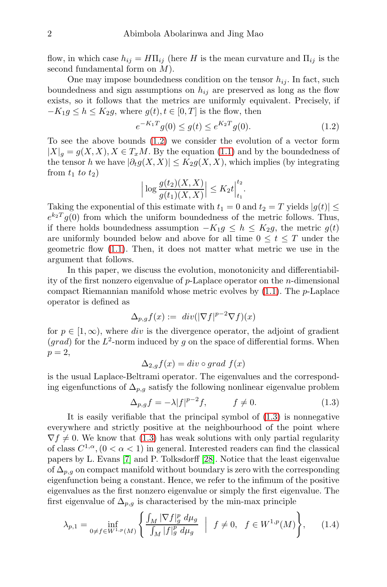flow, in which case  $h_{ij} = H\Pi_{ij}$  (here H is the mean curvature and  $\Pi_{ij}$  is the second fundamental form on M).

One may impose boundedness condition on the tensor  $h_{ij}$ . In fact, such boundedness and sign assumptions on  $h_{ij}$  are preserved as long as the flow exists, so it follows that the metrics are uniformly equivalent. Precisely, if  $-K_1g \leq h \leq K_2g$ , where  $g(t), t \in [0,T]$  is the flow, then

<span id="page-1-0"></span>
$$
e^{-K_1T}g(0) \le g(t) \le e^{K_2T}g(0). \tag{1.2}
$$

To see the above bounds [\(1.2\)](#page-1-0) we consider the evolution of a vector form  $|X|_q = g(X, X), X \in T_xM$ . By the equation [\(1.1\)](#page-0-0) and by the boundedness of the tensor h we have  $|\partial_t g(X, X)| \leq K_2 g(X, X)$ , which implies (by integrating from  $t_1$  to  $t_2$ )

$$
\left| \log \frac{g(t_2)(X,X)}{g(t_1)(X,X)} \right| \le K_2 t \Big|_{t_1}^{t_2}.
$$

Taking the exponential of this estimate with  $t_1 = 0$  and  $t_2 = T$  yields  $|g(t)| \leq$  $e^{k_2T}g(0)$  from which the uniform boundedness of the metric follows. Thus, if there holds boundedness assumption  $-K_1g \leq h \leq K_2g$ , the metric  $g(t)$ are uniformly bounded below and above for all time  $0 \leq t \leq T$  under the geometric flow [\(1.1\)](#page-0-0). Then, it does not matter what metric we use in the argument that follows.

In this paper, we discuss the evolution, monotonicity and differentiability of the first nonzero eigenvalue of  $p$ -Laplace operator on the *n*-dimensional compact Riemannian manifold whose metric evolves by  $(1.1)$ . The *p*-Laplace operator is defined as

$$
\Delta_{p,g}f(x) := div(|\nabla f|^{p-2}\nabla f)(x)
$$

for  $p \in [1,\infty)$ , where div is the divergence operator, the adjoint of gradient (grad) for the  $L^2$ -norm induced by g on the space of differential forms. When  $p=2,$ 

$$
\Delta_{2,g}f(x) = div \circ grad \ f(x)
$$

is the usual Laplace-Beltrami operator. The eigenvalues and the corresponding eigenfunctions of  $\Delta_{p,q}$  satisfy the following nonlinear eigenvalue problem

<span id="page-1-1"></span>
$$
\Delta_{p,g}f = -\lambda|f|^{p-2}f, \qquad f \neq 0. \tag{1.3}
$$

It is easily verifiable that the principal symbol of [\(1.3\)](#page-1-1) is nonnegative everywhere and strictly positive at the neighbourhood of the point where  $\nabla f \neq 0$ . We know that [\(1.3\)](#page-1-1) has weak solutions with only partial regularity of class  $C^{1,\alpha}$ ,  $(0 < \alpha < 1)$  in general. Interested readers can find the classical papers by L. Evans [7] and P. Tolksdorff [28]. Notice that the least eigenvalue of  $\Delta_{p,q}$  on compact manifold without boundary is zero with the corresponding eigenfunction being a constant. Hence, we refer to the infimum of the positive eigenvalues as the first nonzero eigenvalue or simply the first eigenvalue. The first eigenvalue of  $\Delta_{p,q}$  is characterised by the min-max principle

<span id="page-1-2"></span>
$$
\lambda_{p,1} = \inf_{0 \neq f \in W^{1,p}(M)} \left\{ \frac{\int_M |\nabla f|_g^p \, d\mu_g}{\int_M |f|_g^p \, d\mu_g} \, \middle| \, f \neq 0, \, f \in W^{1,p}(M) \right\},\tag{1.4}
$$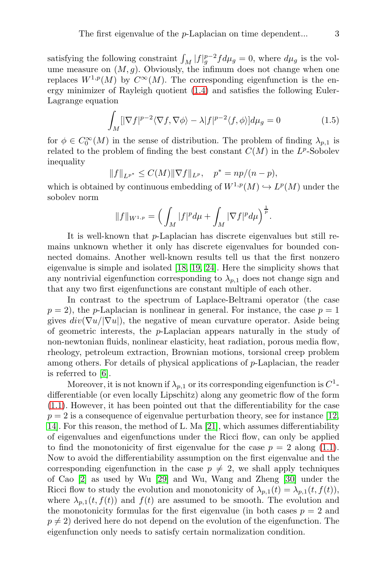satisfying the following constraint  $\int_M |f|_g^{p-2} f d\mu_g = 0$ , where  $d\mu_g$  is the volume measure on  $(M, g)$ . Obviously, the infimum does not change when one replaces  $W^{1,p}(M)$  by  $C^{\infty}(M)$ . The corresponding eigenfunction is the energy minimizer of Rayleigh quotient [\(1.4\)](#page-1-2) and satisfies the following Euler-Lagrange equation

$$
\int_{M} [|\nabla f|^{p-2} \langle \nabla f, \nabla \phi \rangle - \lambda |f|^{p-2} \langle f, \phi \rangle] d\mu_{g} = 0 \tag{1.5}
$$

for  $\phi \in C_0^{\infty}(M)$  in the sense of distribution. The problem of finding  $\lambda_{p,1}$  is related to the problem of finding the best constant  $C(M)$  in the  $L^p$ -Sobolev inequality

$$
||f||_{L^{p^*}} \leq C(M) ||\nabla f||_{L^p}, \quad p^* = np/(n-p),
$$

which is obtained by continuous embedding of  $W^{1,p}(M) \hookrightarrow L^p(M)$  under the sobolev norm

$$
||f||_{W^{1,p}} = \left(\int_M |f|^p d\mu + \int_M |\nabla f|^p d\mu\right)^{\frac{1}{p}}.
$$

It is well-known that p-Laplacian has discrete eigenvalues but still remains unknown whether it only has discrete eigenvalues for bounded connected domains. Another well-known results tell us that the first nonzero eigenvalue is simple and isolated [18, 19, 24]. Here the simplicity shows that any nontrivial eigenfunction corresponding to  $\lambda_{p,1}$  does not change sign and that any two first eigenfunctions are constant multiple of each other.

In contrast to the spectrum of Laplace-Beltrami operator (the case  $p = 2$ , the *p*-Laplacian is nonlinear in general. For instance, the case  $p = 1$ gives  $div(\nabla u/|\nabla u|)$ , the negative of mean curvature operator. Aside being of geometric interests, the  $p$ -Laplacian appears naturally in the study of non-newtonian fluids, nonlinear elasticity, heat radiation, porous media flow, rheology, petroleum extraction, Brownian motions, torsional creep problem among others. For details of physical applications of p-Laplacian, the reader is referred to [6].

Moreover, it is not known if  $\lambda_{p,1}$  or its corresponding eigenfunction is  $C^1$ differentiable (or even locally Lipschitz) along any geometric flow of the form [\(1.1\)](#page-0-0). However, it has been pointed out that the differentiability for the case  $p = 2$  is a consequence of eigenvalue perturbation theory, see for instance [12, 14]. For this reason, the method of L. Ma [21], which assumes differentiability of eigenvalues and eigenfunctions under the Ricci flow, can only be applied to find the monotonicity of first eigenvalue for the case  $p = 2$  along [\(1.1\)](#page-0-0). Now to avoid the differentiability assumption on the first eigenvalue and the corresponding eigenfunction in the case  $p \neq 2$ , we shall apply techniques of Cao [2] as used by Wu [29] and Wu, Wang and Zheng [30] under the Ricci flow to study the evolution and monotonicity of  $\lambda_{p,1}(t) = \lambda_{p,1}(t, f(t)),$ where  $\lambda_{p,1}(t, f(t))$  and  $f(t)$  are assumed to be smooth. The evolution and the monotonicity formulas for the first eigenvalue (in both cases  $p = 2$  and  $p \neq 2$ ) derived here do not depend on the evolution of the eigenfunction. The eigenfunction only needs to satisfy certain normalization condition.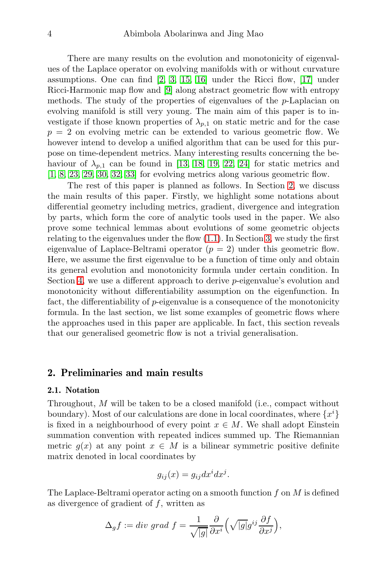There are many results on the evolution and monotonicity of eigenvalues of the Laplace operator on evolving manifolds with or without curvature assumptions. One can find [2, 3, 15, 16] under the Ricci flow, [17] under Ricci-Harmonic map flow and [9] along abstract geometric flow with entropy methods. The study of the properties of eigenvalues of the p-Laplacian on evolving manifold is still very young. The main aim of this paper is to investigate if those known properties of  $\lambda_{p,1}$  on static metric and for the case  $p = 2$  on evolving metric can be extended to various geometric flow. We however intend to develop a unified algorithm that can be used for this purpose on time-dependent metrics. Many interesting results concerning the behaviour of  $\lambda_{n,1}$  can be found in [13, 18, 19, 22, 24] for static metrics and [1, 8, 23, 29, 30, 32, 33] for evolving metrics along various geometric flow.

The rest of this paper is planned as follows. In Section [2,](#page-3-0) we discuss the main results of this paper. Firstly, we highlight some notations about differential geometry including metrics, gradient, divergence and integration by parts, which form the core of analytic tools used in the paper. We also prove some technical lemmas about evolutions of some geometric objects relating to the eigenvalues under the flow [\(1.1\)](#page-0-0). In Section [3,](#page-10-0) we study the first eigenvalue of Laplace-Beltrami operator  $(p = 2)$  under this geometric flow. Here, we assume the first eigenvalue to be a function of time only and obtain its general evolution and monotonicity formula under certain condition. In Section [4,](#page-12-0) we use a different approach to derive p-eigenvalue's evolution and monotonicity without differentiability assumption on the eigenfunction. In fact, the differentiability of  $p$ -eigenvalue is a consequence of the monotonicity formula. In the last section, we list some examples of geometric flows where the approaches used in this paper are applicable. In fact, this section reveals that our generalised geometric flow is not a trivial generalisation.

## <span id="page-3-0"></span>2. Preliminaries and main results

## 2.1. Notation

Throughout, M will be taken to be a closed manifold (i.e., compact without boundary). Most of our calculations are done in local coordinates, where  $\{x^i\}$ is fixed in a neighbourhood of every point  $x \in M$ . We shall adopt Einstein summation convention with repeated indices summed up. The Riemannian metric  $g(x)$  at any point  $x \in M$  is a bilinear symmetric positive definite matrix denoted in local coordinates by

$$
g_{ij}(x) = g_{ij} dx^i dx^j.
$$

The Laplace-Beltrami operator acting on a smooth function  $f$  on  $M$  is defined as divergence of gradient of f, written as

$$
\Delta_g f := div \, grad \, f = \frac{1}{\sqrt{|g|}} \frac{\partial}{\partial x^i} \left( \sqrt{|g|} g^{ij} \frac{\partial f}{\partial x^j} \right),
$$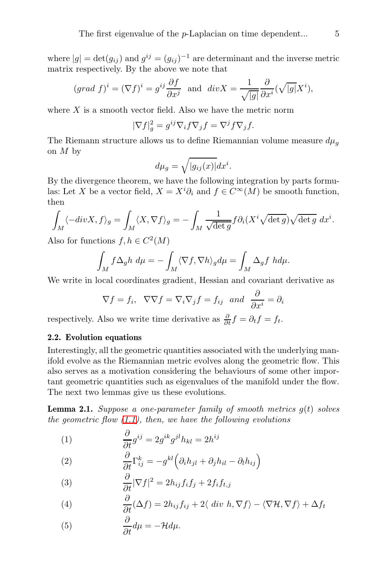where  $|g| = \det(g_{ij})$  and  $g^{ij} = (g_{ij})^{-1}$  are determinant and the inverse metric matrix respectively. By the above we note that

$$
(grad \ f)^i = (\nabla f)^i = g^{ij} \frac{\partial f}{\partial x^j}
$$
 and  $div X = \frac{1}{\sqrt{|g|}} \frac{\partial}{\partial x^i} (\sqrt{|g|} X^i),$ 

where  $X$  is a smooth vector field. Also we have the metric norm

$$
|\nabla f|_g^2 = g^{ij} \nabla_i f \nabla_j f = \nabla^j f \nabla_j f.
$$

The Riemann structure allows us to define Riemannian volume measure  $d\mu_q$ on M by

$$
d\mu_g = \sqrt{|g_{ij}(x)|} dx^i.
$$

By the divergence theorem, we have the following integration by parts formulas: Let X be a vector field,  $X = X^i \partial_i$  and  $f \in C^\infty(M)$  be smooth function, then

$$
\int_M \langle -div X, f \rangle_g = \int_M \langle X, \nabla f \rangle_g = -\int_M \frac{1}{\sqrt{\det g}} f \partial_i (X^i \sqrt{\det g}) \sqrt{\det g} dx^i.
$$

Also for functions  $f, h \in C^2(M)$ 

$$
\int_M f \Delta_g h \, d\mu = -\int_M \langle \nabla f, \nabla h \rangle_g d\mu = \int_M \Delta_g f \, h d\mu.
$$

We write in local coordinates gradient, Hessian and covariant derivative as

$$
\nabla f = f_i
$$
,  $\nabla \nabla f = \nabla_i \nabla_j f = f_{ij}$  and  $\frac{\partial}{\partial x^i} = \partial_i$ 

respectively. Also we write time derivative as  $\frac{\partial}{\partial t}f = \partial_t f = f_t$ .

## 2.2. Evolution equations

Interestingly, all the geometric quantities associated with the underlying manifold evolve as the Riemannian metric evolves along the geometric flow. This also serves as a motivation considering the behaviours of some other important geometric quantities such as eigenvalues of the manifold under the flow. The next two lemmas give us these evolutions.

<span id="page-4-0"></span>**Lemma 2.1.** Suppose a one-parameter family of smooth metrics  $g(t)$  solves the geometric flow  $(1.1)$ , then, we have the following evolutions

(1) 
$$
\frac{\partial}{\partial t}g^{ij} = 2g^{ik}g^{jl}h_{kl} = 2h^{ij}
$$

(2) 
$$
\frac{\partial}{\partial t} \Gamma_{ij}^k = -g^{kl} \left( \partial_i h_{jl} + \partial_j h_{il} - \partial_l h_{ij} \right)
$$

(3) 
$$
\frac{\partial}{\partial t} |\nabla f|^2 = 2h_{ij} f_i f_j + 2f_i f_{t,j}
$$

(4) 
$$
\frac{\partial}{\partial t}(\Delta f) = 2h_{ij}f_{ij} + 2\langle \ div \ h, \nabla f \rangle - \langle \nabla \mathcal{H}, \nabla f \rangle + \Delta f_t
$$

(5) 
$$
\frac{\partial}{\partial t}d\mu = -\mathcal{H}d\mu.
$$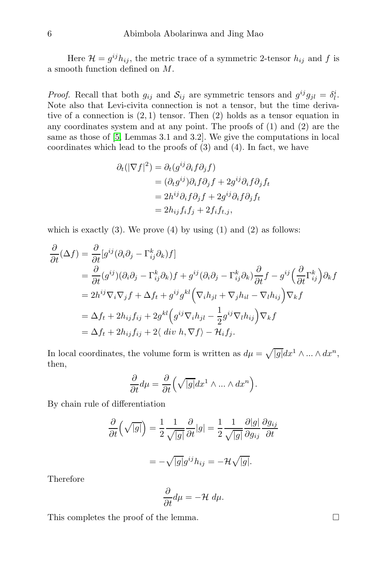Here  $\mathcal{H} = g^{ij} h_{ij}$ , the metric trace of a symmetric 2-tensor  $h_{ij}$  and f is a smooth function defined on M.

*Proof.* Recall that both  $g_{ij}$  and  $S_{ij}$  are symmetric tensors and  $g^{ij}g_{jl} = \delta_l^i$ . Note also that Levi-civita connection is not a tensor, but the time derivative of a connection is  $(2, 1)$  tensor. Then  $(2)$  holds as a tensor equation in any coordinates system and at any point. The proofs of (1) and (2) are the same as those of [5, Lemmas 3.1 and 3.2]. We give the computations in local coordinates which lead to the proofs of (3) and (4). In fact, we have

$$
\partial_t(|\nabla f|^2) = \partial_t(g^{ij}\partial_i f \partial_j f)
$$
  
=  $(\partial_t g^{ij})\partial_i f \partial_j f + 2g^{ij}\partial_i f \partial_j f_t$   
=  $2h^{ij}\partial_i f \partial_j f + 2g^{ij}\partial_i f \partial_j f_t$   
=  $2h_{ij}f_i f_j + 2f_i f_{t,j}$ ,

which is exactly  $(3)$ . We prove  $(4)$  by using  $(1)$  and  $(2)$  as follows:

$$
\frac{\partial}{\partial t}(\Delta f) = \frac{\partial}{\partial t}[g^{ij}(\partial_i\partial_j - \Gamma^k_{ij}\partial_k)f]
$$
\n
$$
= \frac{\partial}{\partial t}(g^{ij})(\partial_i\partial_j - \Gamma^k_{ij}\partial_k)f + g^{ij}(\partial_i\partial_j - \Gamma^k_{ij}\partial_k)\frac{\partial}{\partial t}f - g^{ij}(\frac{\partial}{\partial t}\Gamma^k_{ij})\partial_kf
$$
\n
$$
= 2h^{ij}\nabla_i\nabla_jf + \Delta f_t + g^{ij}g^{kl}\left(\nabla_ih_{jl} + \nabla_jh_{il} - \nabla_lh_{ij}\right)\nabla_kf
$$
\n
$$
= \Delta f_t + 2h_{ij}f_{ij} + 2g^{kl}\left(g^{ij}\nabla_ih_{jl} - \frac{1}{2}g^{ij}\nabla_lh_{ij}\right)\nabla_kf
$$
\n
$$
= \Delta f_t + 2h_{ij}f_{ij} + 2\langle div \ h, \nabla f \rangle - \mathcal{H}_i f_j.
$$

In local coordinates, the volume form is written as  $d\mu = \sqrt{|g|} dx^1 \wedge ... \wedge dx^n$ , then,

$$
\frac{\partial}{\partial t}d\mu = \frac{\partial}{\partial t} \left( \sqrt{|g|} dx^1 \wedge \dots \wedge dx^n \right).
$$

By chain rule of differentiation

$$
\frac{\partial}{\partial t} \left( \sqrt{|g|} \right) = \frac{1}{2} \frac{1}{\sqrt{|g|}} \frac{\partial}{\partial t} |g| = \frac{1}{2} \frac{1}{\sqrt{|g|}} \frac{\partial |g|}{\partial g_{ij}} \frac{\partial g_{ij}}{\partial t}
$$

$$
= -\sqrt{|g|} g^{ij} h_{ij} = -\mathcal{H} \sqrt{|g|}.
$$

Therefore

$$
\frac{\partial}{\partial t}d\mu = -\mathcal{H} d\mu.
$$

This completes the proof of the lemma.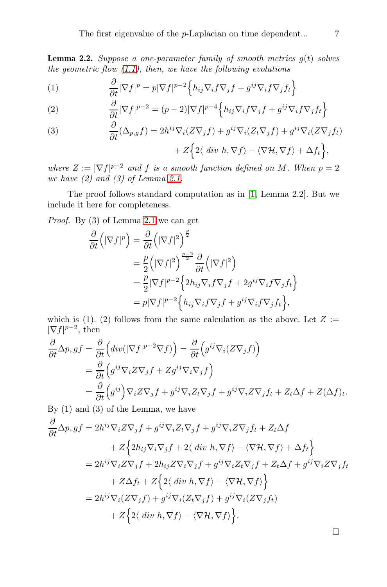<span id="page-6-0"></span>**Lemma 2.2.** Suppose a one-parameter family of smooth metrics  $g(t)$  solves the geometric flow  $(1.1)$ , then, we have the following evolutions

(1) 
$$
\frac{\partial}{\partial t} |\nabla f|^p = p |\nabla f|^{p-2} \left\{ h_{ij} \nabla_i f \nabla_j f + g^{ij} \nabla_i f \nabla_j f_t \right\}
$$

(2) 
$$
\frac{\partial}{\partial t} |\nabla f|^{p-2} = (p-2)|\nabla f|^{p-4} \left\{ h_{ij} \nabla_i f \nabla_j f + g^{ij} \nabla_i f \nabla_j f_t \right\}
$$

(3) 
$$
\frac{\partial}{\partial t}(\Delta_{p,g}f) = 2h^{ij}\nabla_i(Z\nabla_jf) + g^{ij}\nabla_i(Z_t\nabla_jf) + g^{ij}\nabla_i(Z\nabla_jf_t)
$$

$$
+ Z\Big\{2\langle div \, h, \nabla f \rangle - \langle \nabla \mathcal{H}, \nabla f \rangle + \Delta f_t\Big\},\
$$

where  $Z := |\nabla f|^{p-2}$  and f is a smooth function defined on M. When  $p = 2$ we have  $(2)$  and  $(3)$  of Lemma [2.1.](#page-4-0)

The proof follows standard computation as in [1, Lemma 2.2]. But we include it here for completeness.

Proof. By (3) of Lemma [2.1](#page-4-0) we can get

$$
\frac{\partial}{\partial t} \left( |\nabla f|^p \right) = \frac{\partial}{\partial t} \left( |\nabla f|^2 \right)^{\frac{p}{2}} \n= \frac{p}{2} \left( |\nabla f|^2 \right)^{\frac{p-2}{2}} \frac{\partial}{\partial t} \left( |\nabla f|^2 \right) \n= \frac{p}{2} |\nabla f|^{p-2} \left\{ 2h_{ij} \nabla_i f \nabla_j f + 2g^{ij} \nabla_i f \nabla_j f_t \right\} \n= p |\nabla f|^{p-2} \left\{ h_{ij} \nabla_i f \nabla_j f + g^{ij} \nabla_i f \nabla_j f_t \right\},
$$

which is (1). (2) follows from the same calculation as the above. Let  $Z :=$  $|\nabla f|^{p-2}$ , then

$$
\frac{\partial}{\partial t} \Delta p, gf = \frac{\partial}{\partial t} \Big( div(|\nabla f|^{p-2} \nabla f) \Big) = \frac{\partial}{\partial t} \Big( g^{ij} \nabla_i (Z \nabla_j f) \Big) \n= \frac{\partial}{\partial t} \Big( g^{ij} \nabla_i Z \nabla_j f + Z g^{ij} \nabla_i \nabla_j f \Big) \n= \frac{\partial}{\partial t} \Big( g^{ij} \Big) \nabla_i Z \nabla_j f + g^{ij} \nabla_i Z \nabla_j f + g^{ij} \nabla_i Z \nabla_j f_t + Z_t \Delta f + Z(\Delta f)_t.
$$

By (1) and (3) of the Lemma, we have

$$
\frac{\partial}{\partial t} \Delta p, gf = 2h^{ij} \nabla_i Z \nabla_j f + g^{ij} \nabla_i Z_t \nabla_j f + g^{ij} \nabla_i Z \nabla_j f_t + Z_t \Delta f
$$
\n
$$
+ Z \Big\{ 2h_{ij} \nabla_i \nabla_j f + 2 \langle \ div \ h, \nabla f \rangle - \langle \nabla \mathcal{H}, \nabla f \rangle + \Delta f_t \Big\}
$$
\n
$$
= 2h^{ij} \nabla_i Z \nabla_j f + 2h_{ij} Z \nabla_i \nabla_j f + g^{ij} \nabla_i Z_t \nabla_j f + Z_t \Delta f + g^{ij} \nabla_i Z \nabla_j f_t
$$
\n
$$
+ Z \Delta f_t + Z \Big\{ 2 \langle \ div \ h, \nabla f \rangle - \langle \nabla \mathcal{H}, \nabla f \rangle \Big\}
$$
\n
$$
= 2h^{ij} \nabla_i (Z \nabla_j f) + g^{ij} \nabla_i (Z_t \nabla_j f) + g^{ij} \nabla_i (Z \nabla_j f_t)
$$
\n
$$
+ Z \Big\{ 2 \langle \ div \ h, \nabla f \rangle - \langle \nabla \mathcal{H}, \nabla f \rangle \Big\}.
$$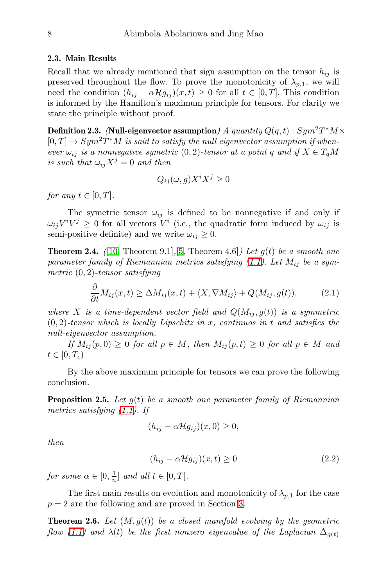#### 2.3. Main Results

Recall that we already mentioned that sign assumption on the tensor  $h_{ij}$  is preserved throughout the flow. To prove the monotonicity of  $\lambda_{p,1}$ , we will need the condition  $(h_{ij} - \alpha \mathcal{H}g_{ij})(x, t) \geq 0$  for all  $t \in [0, T]$ . This condition is informed by the Hamilton's maximum principle for tensors. For clarity we state the principle without proof.

Definition 2.3. (Null-eigenvector assumption) A quantity  $Q(q, t)$ :  $Sym^2T^*M \times$  $[0, T] \rightarrow Sym^2T^*M$  is said to satisfy the null eigenvector assumption if whenever  $\omega_{ij}$  is a nonnegative symetric  $(0, 2)$ -tensor at a point q and if  $X \in T_aM$ is such that  $\omega_{ij}X^j=0$  and then

$$
Q_{ij}(\omega, g)X^i X^j \ge 0
$$

for any  $t \in [0, T]$ .

The symetric tensor  $\omega_{ij}$  is defined to be nonnegative if and only if  $\omega_{ij}V^iV^j \geq 0$  for all vectors  $V^i$  (i.e., the quadratic form induced by  $\omega_{ij}$  is semi-positive definite) and we write  $\omega_{ij} \geq 0$ .

**Theorem 2.4.** ([10, Theorem 9.1], [5, Theorem 4.6]) Let  $g(t)$  be a smooth one parameter family of Riemannian metrics satisfying  $(1.1)$ . Let  $M_{ij}$  be a symmetric  $(0, 2)$ -tensor satisfying

$$
\frac{\partial}{\partial t}M_{ij}(x,t) \ge \Delta M_{ij}(x,t) + \langle X, \nabla M_{ij} \rangle + Q(M_{ij}, g(t)),\tag{2.1}
$$

where X is a time-dependent vector field and  $Q(M_{ij}, g(t))$  is a symmetric  $(0, 2)$ -tensor which is locally Lipschitz in x, continuos in t and satisfies the null-eigenvector assumption.

If  $M_{ij}(p, 0) \geq 0$  for all  $p \in M$ , then  $M_{ij}(p, t) \geq 0$  for all  $p \in M$  and  $t\in[0,T_{\epsilon})$ 

By the above maximum principle for tensors we can prove the following conclusion.

**Proposition 2.5.** Let  $q(t)$  be a smooth one parameter family of Riemannian metrics satisfying [\(1.1\)](#page-0-0). If

$$
(h_{ij} - \alpha \mathcal{H} g_{ij})(x,0) \ge 0,
$$

then

$$
(h_{ij} - \alpha \mathcal{H}g_{ij})(x, t) \ge 0 \tag{2.2}
$$

for some  $\alpha \in [0, \frac{1}{n}]$  and all  $t \in [0, T]$ .

The first main results on evolution and monotonicity of  $\lambda_{p,1}$  for the case  $p = 2$  are the following and are proved in Section [3.](#page-10-0)

<span id="page-7-0"></span>**Theorem 2.6.** Let  $(M, g(t))$  be a closed manifold evolving by the geometric flow [\(1.1\)](#page-0-0) and  $\lambda(t)$  be the first nonzero eigenvalue of the Laplacian  $\Delta_{g(t)}$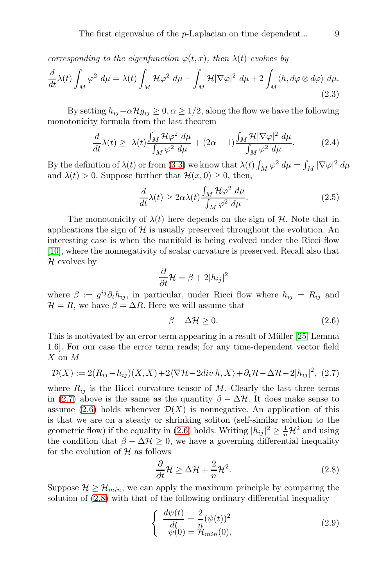corresponding to the eigenfunction  $\varphi(t,x)$ , then  $\lambda(t)$  evolves by

$$
\frac{d}{dt}\lambda(t)\int_M \varphi^2 \,d\mu = \lambda(t)\int_M \mathcal{H}\varphi^2 \,d\mu - \int_M \mathcal{H}|\nabla\varphi|^2 \,d\mu + 2\int_M \langle h, d\varphi \otimes d\varphi \rangle \,d\mu. \tag{2.3}
$$

By setting  $h_{ij}-\alpha \mathcal{H} g_{ij} \geq 0, \alpha \geq 1/2$ , along the flow we have the following monotonicity formula from the last theorem

$$
\frac{d}{dt}\lambda(t) \geq \lambda(t)\frac{\int_M \mathcal{H}\varphi^2 \,d\mu}{\int_M \varphi^2 \,d\mu} + (2\alpha - 1)\frac{\int_M \mathcal{H}|\nabla\varphi|^2 \,d\mu}{\int_M \varphi^2 \,d\mu}.\tag{2.4}
$$

By the definition of  $\lambda(t)$  or from [\(3.3\)](#page-11-0) we know that  $\lambda(t) \int_M \varphi^2 d\mu = \int_M |\nabla \varphi|^2 d\mu$ and  $\lambda(t) > 0$ . Suppose further that  $\mathcal{H}(x, 0) \geq 0$ , then,

<span id="page-8-3"></span>
$$
\frac{d}{dt}\lambda(t) \ge 2\alpha\lambda(t)\frac{\int_M \mathcal{H}\varphi^2 \ d\mu}{\int_M \varphi^2 \ d\mu}.\tag{2.5}
$$

The monotonicity of  $\lambda(t)$  here depends on the sign of H. Note that in applications the sign of  $\mathcal H$  is usually preserved throughout the evolution. An interesting case is when the manifold is being evolved under the Ricci flow [10], where the nonnegativity of scalar curvature is preserved. Recall also that  $H$  evolves by

$$
\frac{\partial}{\partial t} \mathcal{H} = \beta + 2|h_{ij}|^2
$$

where  $\beta := g^{ij}\partial_t h_{ij}$ , in particular, under Ricci flow where  $h_{ij} = R_{ij}$  and  $\mathcal{H} = R$ , we have  $\beta = \Delta R$ . Here we will assume that

<span id="page-8-1"></span>
$$
\beta - \Delta \mathcal{H} \ge 0. \tag{2.6}
$$

This is motivated by an error term appearing in a result of Müller [25, Lemma] 1.6]. For our case the error term reads; for any time-dependent vector field X on M

<span id="page-8-0"></span>
$$
\mathcal{D}(X) := 2(R_{ij} - h_{ij})(X, X) + 2\langle \nabla \mathcal{H} - 2div\ h, X \rangle + \partial_t \mathcal{H} - \Delta \mathcal{H} - 2|h_{ij}|^2, \tag{2.7}
$$

where  $R_{ij}$  is the Ricci curvature tensor of M. Clearly the last three terms in [\(2.7\)](#page-8-0) above is the same as the quantity  $\beta - \Delta \mathcal{H}$ . It does make sense to assume [\(2.6\)](#page-8-1) holds whenever  $\mathcal{D}(X)$  is nonnegative. An application of this is that we are on a steady or shrinking soliton (self-similar solution to the geometric flow) if the equality in [\(2.6\)](#page-8-1) holds. Writing  $|h_{ij}|^2 \geq \frac{1}{n} \mathcal{H}^2$  and using the condition that  $\beta - \Delta \mathcal{H} \geq 0$ , we have a governing differential inequality for the evolution of  $H$  as follows

<span id="page-8-2"></span>
$$
\frac{\partial}{\partial t} \mathcal{H} \ge \Delta \mathcal{H} + \frac{2}{n} \mathcal{H}^2.
$$
 (2.8)

Suppose  $\mathcal{H} \geq \mathcal{H}_{min}$ , we can apply the maximum principle by comparing the solution of [\(2.8\)](#page-8-2) with that of the following ordinary differential inequality

$$
\begin{cases}\n\frac{d\psi(t)}{dt} = \frac{2}{n} (\psi(t))^2 \\
\psi(0) = \mathcal{H}_{min}(0),\n\end{cases}
$$
\n(2.9)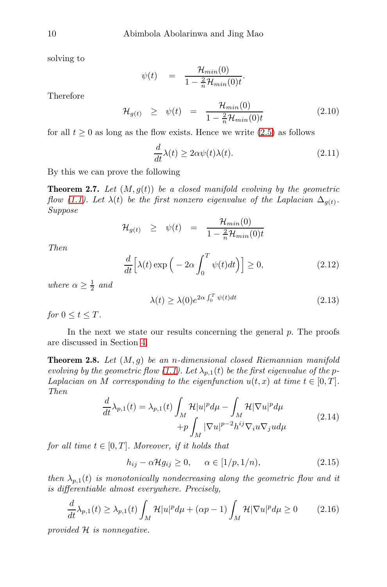solving to

$$
\psi(t) = \frac{\mathcal{H}_{min}(0)}{1 - \frac{2}{n}\mathcal{H}_{min}(0)t}
$$

Therefore

$$
\mathcal{H}_{g(t)} \geq \psi(t) = \frac{\mathcal{H}_{min}(0)}{1 - \frac{2}{n}\mathcal{H}_{min}(0)t} \tag{2.10}
$$

for all  $t \geq 0$  as long as the flow exists. Hence we write  $(2.5)$  as follows

$$
\frac{d}{dt}\lambda(t) \ge 2\alpha\psi(t)\lambda(t). \tag{2.11}
$$

.

By this we can prove the following

**Theorem 2.7.** Let  $(M, g(t))$  be a closed manifold evolving by the geometric flow [\(1.1\)](#page-0-0). Let  $\lambda(t)$  be the first nonzero eigenvalue of the Laplacian  $\Delta_{g(t)}$ . Suppose

$$
\mathcal{H}_{g(t)} \quad \geq \quad \psi(t) \quad = \quad \frac{\mathcal{H}_{min}(0)}{1 - \frac{2}{n}\mathcal{H}_{min}(0)t}
$$

Then

$$
\frac{d}{dt}\left[\lambda(t)\exp\left(-2\alpha\int_0^T\psi(t)dt\right)\right] \ge 0,
$$
\n(2.12)

where  $\alpha \geq \frac{1}{2}$  and

$$
\lambda(t) \ge \lambda(0)e^{2\alpha \int_0^T \psi(t)dt} \tag{2.13}
$$

for  $0 \le t \le T$ .

In the next we state our results concerning the general  $p$ . The proofs are discussed in Section [4.](#page-12-0)

<span id="page-9-0"></span>**Theorem 2.8.** Let  $(M, g)$  be an n-dimensional closed Riemannian manifold evolving by the geometric flow [\(1.1\)](#page-0-0). Let  $\lambda_{p,1}(t)$  be the first eigenvalue of the p-Laplacian on M corresponding to the eigenfunction  $u(t, x)$  at time  $t \in [0, T]$ . Then

<span id="page-9-1"></span>
$$
\frac{d}{dt}\lambda_{p,1}(t) = \lambda_{p,1}(t) \int_M \mathcal{H}|u|^p d\mu - \int_M \mathcal{H}|\nabla u|^p d\mu \n+ p \int_M |\nabla u|^{p-2} h^{ij} \nabla_i u \nabla_j u d\mu
$$
\n(2.14)

for all time  $t \in [0, T]$ . Moreover, if it holds that

<span id="page-9-2"></span>
$$
h_{ij} - \alpha \mathcal{H} g_{ij} \ge 0, \qquad \alpha \in [1/p, 1/n), \tag{2.15}
$$

then  $\lambda_{p,1}(t)$  is monotonically nondecreasing along the geometric flow and it is differentiable almost everywhere. Precisely,

<span id="page-9-3"></span>
$$
\frac{d}{dt}\lambda_{p,1}(t) \ge \lambda_{p,1}(t) \int_M \mathcal{H}|u|^p d\mu + (\alpha p - 1) \int_M \mathcal{H}|\nabla u|^p d\mu \ge 0 \tag{2.16}
$$

provided H is nonnegative.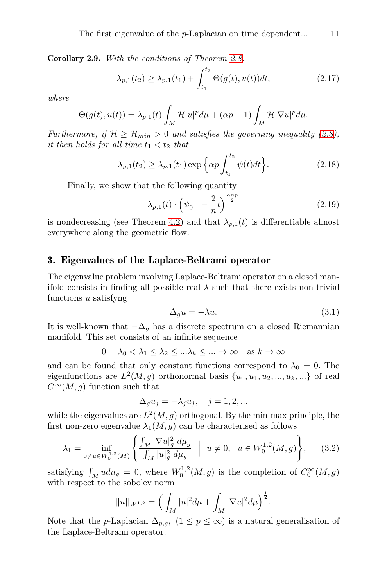<span id="page-10-1"></span>Corollary 2.9. With the conditions of Theorem [2.8.](#page-9-0)

$$
\lambda_{p,1}(t_2) \ge \lambda_{p,1}(t_1) + \int_{t_1}^{t_2} \Theta(g(t), u(t))dt,
$$
\n(2.17)

where

$$
\Theta(g(t), u(t)) = \lambda_{p,1}(t) \int_M \mathcal{H} |u|^p d\mu + (\alpha p - 1) \int_M \mathcal{H} |\nabla u|^p d\mu.
$$

Furthermore, if  $H \geq H_{min} > 0$  and satisfies the governing inequality [\(2.8\)](#page-8-2), it then holds for all time  $t_1 < t_2$  that

<span id="page-10-2"></span>
$$
\lambda_{p,1}(t_2) \ge \lambda_{p,1}(t_1) \exp\left\{\alpha p \int_{t_1}^{t_2} \psi(t)dt\right\}.
$$
 (2.18)

Finally, we show that the following quantity

$$
\lambda_{p,1}(t) \cdot \left(\psi_0^{-1} - \frac{2}{n}t\right)^{\frac{\alpha np}{2}} \tag{2.19}
$$

is nondecreasing (see Theorem [4.2\)](#page-17-0) and that  $\lambda_{p,1}(t)$  is differentiable almost everywhere along the geometric flow.

# <span id="page-10-0"></span>3. Eigenvalues of the Laplace-Beltrami operator

The eigenvalue problem involving Laplace-Beltrami operator on a closed manifold consists in finding all possible real  $\lambda$  such that there exists non-trivial functions u satisfyng

$$
\Delta_g u = -\lambda u. \tag{3.1}
$$

It is well-known that  $-\Delta_g$  has a discrete spectrum on a closed Riemannian manifold. This set consists of an infinite sequence

$$
0 = \lambda_0 < \lambda_1 \le \lambda_2 \le \dots \lambda_k \le \dots \to \infty \quad \text{as } k \to \infty
$$

and can be found that only constant functions correspond to  $\lambda_0 = 0$ . The eigenfunctions are  $L^2(M, g)$  orthonormal basis  $\{u_0, u_1, u_2, ..., u_k, ...\}$  of real  $C^{\infty}(M, q)$  function such that

$$
\Delta_g u_j = -\lambda_j u_j, \quad j = 1, 2, \dots
$$

while the eigenvalues are  $L^2(M, g)$  orthogonal. By the min-max principle, the first non-zero eigenvalue  $\lambda_1(M,g)$  can be characterised as follows

$$
\lambda_1 = \inf_{0 \neq u \in W_0^{1,2}(M)} \left\{ \frac{\int_M |\nabla u|_g^2 \ d\mu_g}{\int_M |u|_g^2 \ d\mu_g} \ \Big| \ u \neq 0, \ u \in W_0^{1,2}(M,g) \right\}, \tag{3.2}
$$

satisfying  $\int_M u d\mu_g = 0$ , where  $W_0^{1,2}(M,g)$  is the completion of  $C_0^{\infty}(M,g)$ with respect to the sobolev norm

$$
||u||_{W^{1,2}} = \Big(\int_M |u|^2 d\mu + \int_M |\nabla u|^2 d\mu\Big)^{\frac{1}{2}}.
$$

Note that the *p*-Laplacian  $\Delta_{p,q}$ ,  $(1 \leq p \leq \infty)$  is a natural generalisation of the Laplace-Beltrami operator.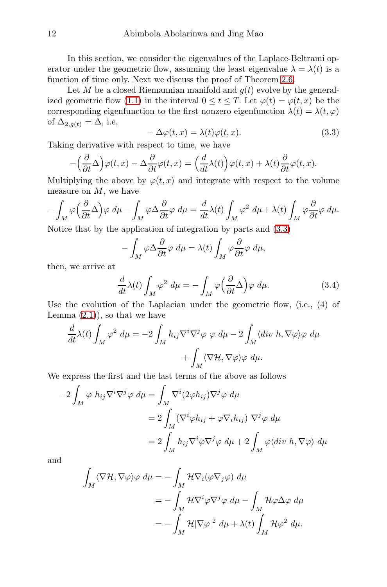In this section, we consider the eigenvalues of the Laplace-Beltrami operator under the geometric flow, assuming the least eigenvalue  $\lambda = \lambda(t)$  is a function of time only. Next we discuss the proof of Theorem [2.6.](#page-7-0)

Let M be a closed Riemannian manifold and  $q(t)$  evolve by the general-ized geometric flow [\(1.1\)](#page-0-0) in the interval  $0 \le t \le T$ . Let  $\varphi(t) = \varphi(t, x)$  be the corresponding eigenfunction to the first nonzero eigenfunction  $\lambda(t) = \lambda(t, \varphi)$ of  $\Delta_{2,q(t)} = \Delta$ , i.e,

<span id="page-11-0"></span>
$$
-\Delta\varphi(t,x) = \lambda(t)\varphi(t,x). \tag{3.3}
$$

Taking derivative with respect to time, we have

$$
-\left(\frac{\partial}{\partial t}\Delta\right)\varphi(t,x) - \Delta\frac{\partial}{\partial t}\varphi(t,x) = \left(\frac{d}{dt}\lambda(t)\right)\varphi(t,x) + \lambda(t)\frac{\partial}{\partial t}\varphi(t,x).
$$

Multiplying the above by  $\varphi(t, x)$  and integrate with respect to the volume measure on  $M$ , we have

$$
-\int_M \varphi\left(\frac{\partial}{\partial t}\Delta\right)\varphi \,d\mu - \int_M \varphi \Delta \frac{\partial}{\partial t}\varphi \,d\mu = \frac{d}{dt}\lambda(t)\int_M \varphi^2 \,d\mu + \lambda(t)\int_M \varphi \frac{\partial}{\partial t}\varphi \,d\mu.
$$

Notice that by the application of integration by parts and [\(3.3\)](#page-11-0)

$$
-\int_M \varphi \Delta \frac{\partial}{\partial t} \varphi \, d\mu = \lambda(t) \int_M \varphi \frac{\partial}{\partial t} \varphi \, d\mu,
$$

then, we arrive at

$$
\frac{d}{dt}\lambda(t)\int_M \varphi^2 \,d\mu = -\int_M \varphi\Big(\frac{\partial}{\partial t}\Delta\Big)\varphi \,d\mu. \tag{3.4}
$$

Use the evolution of the Laplacian under the geometric flow, (i.e., (4) of Lemma  $(2.1)$ , so that we have

$$
\frac{d}{dt}\lambda(t)\int_M \varphi^2 \,d\mu = -2\int_M h_{ij}\nabla^i\nabla^j\varphi \, \varphi \,d\mu - 2\int_M \langle div \, h, \nabla \varphi \rangle \varphi \,d\mu \n+ \int_M \langle \nabla \mathcal{H}, \nabla \varphi \rangle \varphi \,d\mu.
$$

We express the first and the last terms of the above as follows

$$
-2\int_M \varphi h_{ij} \nabla^i \nabla^j \varphi d\mu = \int_M \nabla^i (2\varphi h_{ij}) \nabla^j \varphi d\mu
$$
  
= 
$$
2\int_M (\nabla^i \varphi h_{ij} + \varphi \nabla_i h_{ij}) \nabla^j \varphi d\mu
$$
  
= 
$$
2\int_M h_{ij} \nabla^i \varphi \nabla^j \varphi d\mu + 2\int_M \varphi \langle div \ h, \nabla \varphi \rangle d\mu
$$

and

$$
\begin{split} \int_{M} \langle \nabla \mathcal{H}, \nabla \varphi \rangle \varphi \ d\mu &= -\int_{M} \mathcal{H} \nabla_{i} (\varphi \nabla_{j} \varphi) \ d\mu \\ &= -\int_{M} \mathcal{H} \nabla^{i} \varphi \nabla^{j} \varphi \ d\mu - \int_{M} \mathcal{H} \varphi \Delta \varphi \ d\mu \\ &= -\int_{M} \mathcal{H} |\nabla \varphi|^{2} \ d\mu + \lambda(t) \int_{M} \mathcal{H} \varphi^{2} \ d\mu. \end{split}
$$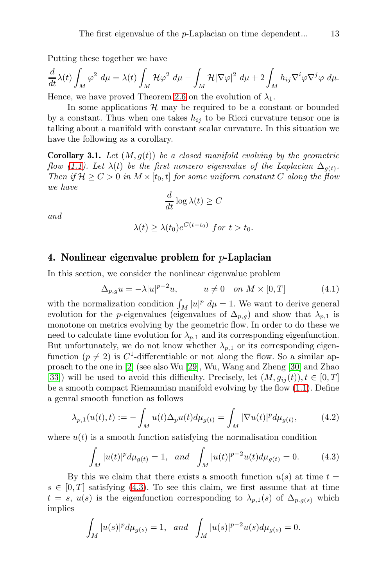Putting these together we have

$$
\frac{d}{dt}\lambda(t)\int_M \varphi^2 \ d\mu = \lambda(t)\int_M \mathcal{H}\varphi^2 \ d\mu - \int_M \mathcal{H}|\nabla\varphi|^2 \ d\mu + 2\int_M h_{ij}\nabla^i\varphi\nabla^j\varphi \ d\mu.
$$

Hence, we have proved Theorem [2.6](#page-7-0) on the evolution of  $\lambda_1$ .

In some applications  $H$  may be required to be a constant or bounded by a constant. Thus when one takes  $h_{ij}$  to be Ricci curvature tensor one is talking about a manifold with constant scalar curvature. In this situation we have the following as a corollary.

**Corollary 3.1.** Let  $(M, g(t))$  be a closed manifold evolving by the geometric flow [\(1.1\)](#page-0-0). Let  $\lambda(t)$  be the first nonzero eigenvalue of the Laplacian  $\Delta_{g(t)}$ . Then if  $\mathcal{H} \geq C > 0$  in  $M \times [t_0, t]$  for some uniform constant C along the flow we have

$$
\frac{d}{dt}\log \lambda(t) \ge C
$$

and

$$
\lambda(t) \ge \lambda(t_0) e^{C(t-t_0)} \text{ for } t > t_0.
$$

# <span id="page-12-0"></span>4. Nonlinear eigenvalue problem for  $p$ -Laplacian

In this section, we consider the nonlinear eigenvalue problem

<span id="page-12-2"></span>
$$
\Delta_{p,g} u = -\lambda |u|^{p-2} u, \qquad u \neq 0 \quad on \ M \times [0,T] \tag{4.1}
$$

with the normalization condition  $\int_M |u|^p \ d\mu = 1$ . We want to derive general evolution for the *p*-eigenvalues (eigenvalues of  $\Delta_{p,q}$ ) and show that  $\lambda_{p,1}$  is monotone on metrics evolving by the geometric flow. In order to do these we need to calculate time evolution for  $\lambda_{p,1}$  and its corresponding eigenfunction. But unfortunately, we do not know whether  $\lambda_{p,1}$  or its corresponding eigenfunction  $(p \neq 2)$  is  $C^1$ -differentiable or not along the flow. So a similar approach to the one in [2] (see also Wu [29], Wu, Wang and Zheng [30] and Zhao [33]) will be used to avoid this difficulty. Precisely, let  $(M, g_{ij}(t)), t \in [0, T]$ be a smooth compact Riemannian manifold evolving by the flow [\(1.1\)](#page-0-0). Define a genral smooth function as follows

$$
\lambda_{p,1}(u(t),t) := -\int_M u(t)\Delta_p u(t)d\mu_{g(t)} = \int_M |\nabla u(t)|^p d\mu_{g(t)},\tag{4.2}
$$

where  $u(t)$  is a smooth function satisfying the normalisation condition

<span id="page-12-1"></span>
$$
\int_{M} |u(t)|^{p} d\mu_{g(t)} = 1, \text{ and } \int_{M} |u(t)|^{p-2} u(t) d\mu_{g(t)} = 0.
$$
 (4.3)

By this we claim that there exists a smooth function  $u(s)$  at time  $t =$  $s \in [0, T]$  satisfying [\(4.3\)](#page-12-1). To see this claim, we first assume that at time  $t = s, u(s)$  is the eigenfunction corresponding to  $\lambda_{p,1}(s)$  of  $\Delta_{p,g(s)}$  which implies

$$
\int_M |u(s)|^p d\mu_{g(s)} = 1, \text{ and } \int_M |u(s)|^{p-2} u(s) d\mu_{g(s)} = 0.
$$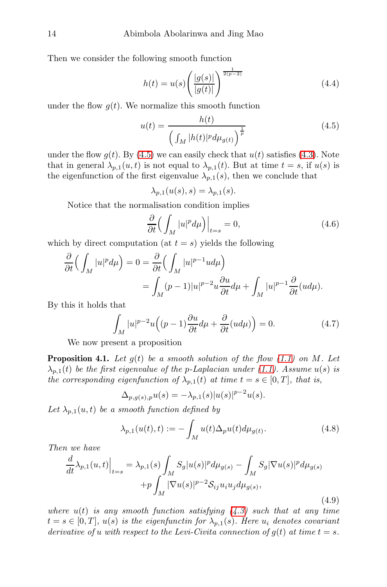Then we consider the following smooth function

$$
h(t) = u(s) \left( \frac{|g(s)|}{|g(t)|} \right)^{\frac{1}{2(p-2)}} \tag{4.4}
$$

under the flow  $g(t)$ . We normalize this smooth function

<span id="page-13-0"></span>
$$
u(t) = \frac{h(t)}{\left(\int_M |h(t)|^p d\mu_{g(t)}\right)^{\frac{1}{p}}}
$$
(4.5)

under the flow  $g(t)$ . By [\(4.5\)](#page-13-0) we can easily check that  $u(t)$  satisfies [\(4.3\)](#page-12-1). Note that in general  $\lambda_{p,1}(u, t)$  is not equal to  $\lambda_{p,1}(t)$ . But at time  $t = s$ , if  $u(s)$  is the eigenfunction of the first eigenvalue  $\lambda_{p,1}(s)$ , then we conclude that

$$
\lambda_{p,1}(u(s),s) = \lambda_{p,1}(s).
$$

Notice that the normalisation condition implies

$$
\frac{\partial}{\partial t} \left( \int_M |u|^p d\mu \right) \Big|_{t=s} = 0,\tag{4.6}
$$

which by direct computation (at  $t = s$ ) yields the following

$$
\frac{\partial}{\partial t} \Big( \int_M |u|^p d\mu \Big) = 0 = \frac{\partial}{\partial t} \Big( \int_M |u|^{p-1} u d\mu \Big) \n= \int_M (p-1)|u|^{p-2} u \frac{\partial u}{\partial t} d\mu + \int_M |u|^{p-1} \frac{\partial}{\partial t} (u d\mu).
$$

By this it holds that

<span id="page-13-2"></span>
$$
\int_{M} |u|^{p-2} u\Big((p-1)\frac{\partial u}{\partial t}d\mu + \frac{\partial}{\partial t}(ud\mu)\Big) = 0.
$$
\n(4.7)

We now present a proposition

**Proposition 4.1.** Let  $q(t)$  be a smooth solution of the flow [\(1.1\)](#page-0-0) on M. Let  $\lambda_{n,1}(t)$  be the first eigenvalue of the p-Laplacian under [\(1.1\)](#page-0-0). Assume  $u(s)$  is the corresponding eigenfunction of  $\lambda_{p,1}(t)$  at time  $t = s \in [0,T]$ , that is,

$$
\Delta_{p,g(s),p}u(s) = -\lambda_{p,1}(s)|u(s)|^{p-2}u(s).
$$

Let  $\lambda_{p,1}(u,t)$  be a smooth function defined by

$$
\lambda_{p,1}(u(t),t) := -\int_M u(t)\Delta_p u(t)d\mu_{g(t)}.
$$
\n(4.8)

Then we have

<span id="page-13-1"></span>
$$
\frac{d}{dt}\lambda_{p,1}(u,t)\Big|_{t=s} = \lambda_{p,1}(s)\int_{M} S_{g}|u(s)|^{p}d\mu_{g(s)} - \int_{M} S_{g}|\nabla u(s)|^{p}d\mu_{g(s)} + p\int_{M} |\nabla u(s)|^{p-2}S_{ij}u_{i}u_{j}d\mu_{g(s)},
$$
\n(4.9)

where  $u(t)$  is any smooth function satisfying  $(4.3)$  such that at any time  $t = s \in [0, T], u(s)$  is the eigenfunctin for  $\lambda_{p,1}(s)$ . Here  $u_i$  denotes covariant derivative of u with respect to the Levi-Civita connection of  $g(t)$  at time  $t = s$ .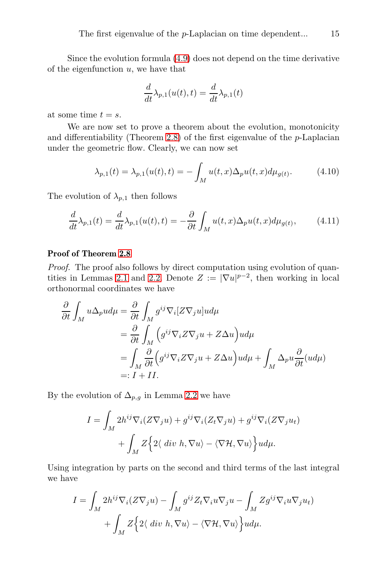Since the evolution formula [\(4.9\)](#page-13-1) does not depend on the time derivative of the eigenfunction  $u$ , we have that

$$
\frac{d}{dt}\lambda_{p,1}(u(t),t) = \frac{d}{dt}\lambda_{p,1}(t)
$$

at some time  $t = s$ .

We are now set to prove a theorem about the evolution, monotonicity and differentiability (Theorem [2.8\)](#page-9-0) of the first eigenvalue of the  $p$ -Laplacian under the geometric flow. Clearly, we can now set

$$
\lambda_{p,1}(t) = \lambda_{p,1}(u(t),t) = -\int_M u(t,x)\Delta_p u(t,x)d\mu_{g(t)}.
$$
\n(4.10)

The evolution of  $\lambda_{p,1}$  then follows

$$
\frac{d}{dt}\lambda_{p,1}(t) = \frac{d}{dt}\lambda_{p,1}(u(t),t) = -\frac{\partial}{\partial t}\int_M u(t,x)\Delta_p u(t,x)d\mu_{g(t)},\tag{4.11}
$$

## Proof of Theorem [2.8](#page-9-0)

Proof. The proof also follows by direct computation using evolution of quan-tities in Lemmas [2.1](#page-4-0) and [2.2.](#page-6-0) Denote  $Z := |\nabla u|^{p-2}$ , then working in local orthonormal coordinates we have

$$
\frac{\partial}{\partial t} \int_{M} u \Delta_{p} u d\mu = \frac{\partial}{\partial t} \int_{M} g^{ij} \nabla_{i} [Z \nabla_{j} u] u d\mu
$$
  
\n
$$
= \frac{\partial}{\partial t} \int_{M} \left( g^{ij} \nabla_{i} Z \nabla_{j} u + Z \Delta u \right) u d\mu
$$
  
\n
$$
= \int_{M} \frac{\partial}{\partial t} \left( g^{ij} \nabla_{i} Z \nabla_{j} u + Z \Delta u \right) u d\mu + \int_{M} \Delta_{p} u \frac{\partial}{\partial t} (u d\mu)
$$
  
\n
$$
=: I + II.
$$

By the evolution of  $\Delta_{p,q}$  in Lemma [2.2](#page-6-0) we have

$$
I = \int_M 2h^{ij} \nabla_i (Z \nabla_j u) + g^{ij} \nabla_i (Z_t \nabla_j u) + g^{ij} \nabla_i (Z \nabla_j u_t) + \int_M Z \Big\{ 2 \langle \ div \ h, \nabla u \rangle - \langle \nabla \mathcal{H}, \nabla u \rangle \Big\} u d\mu.
$$

Using integration by parts on the second and third terms of the last integral we have

$$
I = \int_M 2h^{ij} \nabla_i (Z \nabla_j u) - \int_M g^{ij} Z_t \nabla_i u \nabla_j u - \int_M Z g^{ij} \nabla_i u \nabla_j u_t
$$

$$
+ \int_M Z \Big\{ 2 \langle \ div \ h, \nabla u \rangle - \langle \nabla \mathcal{H}, \nabla u \rangle \Big\} u d\mu.
$$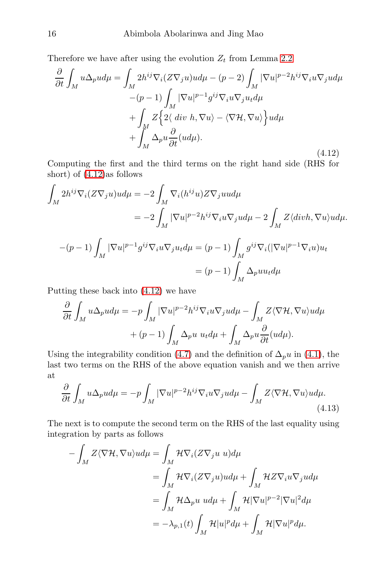Therefore we have after using the evolution  $Z_t$  from Lemma [2.2](#page-6-0)

<span id="page-15-0"></span>
$$
\frac{\partial}{\partial t} \int_{M} u \Delta_{p} u d\mu = \int_{M} 2h^{ij} \nabla_{i} (Z \nabla_{j} u) u d\mu - (p - 2) \int_{M} |\nabla u|^{p-2} h^{ij} \nabla_{i} u \nabla_{j} u d\mu \n- (p - 1) \int_{M} |\nabla u|^{p-1} g^{ij} \nabla_{i} u \nabla_{j} u_{t} d\mu \n+ \int_{M} Z \Big\{ 2 \langle \ div \ h, \nabla u \rangle - \langle \nabla \mathcal{H}, \nabla u \rangle \Big\} u d\mu \n+ \int_{M} \Delta_{p} u \frac{\partial}{\partial t} (u d\mu).
$$
\n(4.12)

Computing the first and the third terms on the right hand side (RHS for short) of [\(4.12\)](#page-15-0)as follows

$$
\int_{M} 2h^{ij} \nabla_i (Z \nabla_j u) u d\mu = -2 \int_{M} \nabla_i (h^{ij} u) Z \nabla_j u u d\mu
$$
  

$$
= -2 \int_{M} |\nabla u|^{p-2} h^{ij} \nabla_i u \nabla_j u d\mu - 2 \int_{M} Z \langle \text{div} h, \nabla u \rangle u d\mu.
$$
  

$$
-(p-1) \int_{M} |\nabla u|^{p-1} g^{ij} \nabla_i u \nabla_j u_d \mu = (p-1) \int_{M} g^{ij} \nabla_i (|\nabla u|^{p-1} \nabla_i u) u_t
$$
  

$$
= (p-1) \int_{M} \Delta_p u u_t d\mu
$$

Putting these back into [\(4.12\)](#page-15-0) we have

$$
\frac{\partial}{\partial t} \int_M u \Delta_p u d\mu = -p \int_M |\nabla u|^{p-2} h^{ij} \nabla_i u \nabla_j u d\mu - \int_M Z \langle \nabla \mathcal{H}, \nabla u \rangle u d\mu + (p-1) \int_M \Delta_p u u_t d\mu + \int_M \Delta_p u \frac{\partial}{\partial t} (u d\mu).
$$

Using the integrability condition [\(4.7\)](#page-13-2) and the definition of  $\Delta_p u$  in [\(4.1\)](#page-12-2), the last two terms on the RHS of the above equation vanish and we then arrive at

$$
\frac{\partial}{\partial t} \int_{M} u \Delta_{p} u d\mu = -p \int_{M} |\nabla u|^{p-2} h^{ij} \nabla_{i} u \nabla_{j} u d\mu - \int_{M} Z \langle \nabla \mathcal{H}, \nabla u \rangle u d\mu.
$$
\n(4.13)

The next is to compute the second term on the RHS of the last equality using integration by parts as follows

<span id="page-15-1"></span>
$$
-\int_{M} Z \langle \nabla \mathcal{H}, \nabla u \rangle u d\mu = \int_{M} \mathcal{H} \nabla_{i} (Z \nabla_{j} u u) d\mu
$$
  

$$
= \int_{M} \mathcal{H} \nabla_{i} (Z \nabla_{j} u) u d\mu + \int_{M} \mathcal{H} Z \nabla_{i} u \nabla_{j} u d\mu
$$
  

$$
= \int_{M} \mathcal{H} \Delta_{p} u u d\mu + \int_{M} \mathcal{H} |\nabla u|^{p-2} |\nabla u|^{2} d\mu
$$
  

$$
= -\lambda_{p,1}(t) \int_{M} \mathcal{H} |u|^{p} d\mu + \int_{M} \mathcal{H} |\nabla u|^{p} d\mu.
$$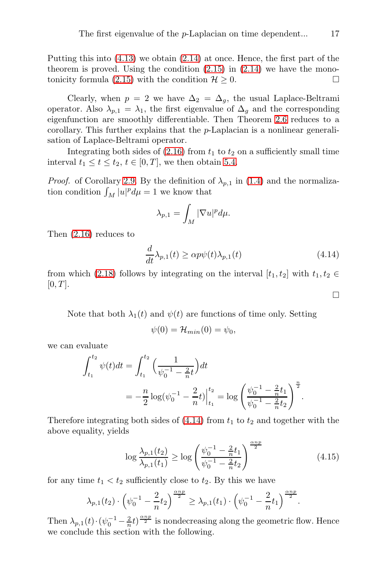Putting this into [\(4.13\)](#page-15-1) we obtain [\(2.14\)](#page-9-1) at once. Hence, the first part of the theorem is proved. Using the condition  $(2.15)$  in  $(2.14)$  we have the mono-tonicity formula [\(2.15\)](#page-9-2) with the condition  $\mathcal{H} > 0$ .

Clearly, when  $p = 2$  we have  $\Delta_2 = \Delta_q$ , the usual Laplace-Beltrami operator. Also  $\lambda_{p,1} = \lambda_1$ , the first eigenvalue of  $\Delta_q$  and the corresponding eigenfunction are smoothly differentiable. Then Theorem [2.6](#page-7-0) reduces to a corollary. This further explains that the p-Laplacian is a nonlinear generalisation of Laplace-Beltrami operator.

Integrating both sides of  $(2.16)$  from  $t_1$  to  $t_2$  on a sufficiently small time interval  $t_1 \leq t \leq t_2$ ,  $t \in [0, T]$ , we then obtain [5.4.](#page-18-0)

*Proof.* of Corollary [2.9.](#page-10-1) By the definition of  $\lambda_{p,1}$  in [\(1.4\)](#page-1-2) and the normalization condition  $\int_M |u|^p d\mu = 1$  we know that

$$
\lambda_{p,1}=\int_M|\nabla u|^pd\mu.
$$

Then [\(2.16\)](#page-9-3) reduces to

<span id="page-16-0"></span>
$$
\frac{d}{dt}\lambda_{p,1}(t) \ge \alpha p\psi(t)\lambda_{p,1}(t)
$$
\n(4.14)

from which [\(2.18\)](#page-10-2) follows by integrating on the interval  $[t_1, t_2]$  with  $t_1, t_2 \in$  $[0, T]$ .

Note that both  $\lambda_1(t)$  and  $\psi(t)$  are functions of time only. Setting

$$
\psi(0) = \mathcal{H}_{min}(0) = \psi_0,
$$

we can evaluate

$$
\int_{t_1}^{t_2} \psi(t)dt = \int_{t_1}^{t_2} \left(\frac{1}{\psi_0^{-1} - \frac{2}{n}t}\right)dt
$$
  
=  $-\frac{n}{2} \log(\psi_0^{-1} - \frac{2}{n}t)\Big|_{t_1}^{t_2} = \log\left(\frac{\psi_0^{-1} - \frac{2}{n}t_1}{\psi_0^{-1} - \frac{2}{n}t_2}\right)^{\frac{n}{2}}.$ 

Therefore integrating both sides of  $(4.14)$  from  $t_1$  to  $t_2$  and together with the above equality, yields

$$
\log \frac{\lambda_{p,1}(t_2)}{\lambda_{p,1}(t_1)} \ge \log \left( \frac{\psi_0^{-1} - \frac{2}{n} t_1}{\psi_0^{-1} - \frac{2}{n} t_2} \right)^{\frac{\alpha np}{2}}
$$
(4.15)

for any time  $t_1 < t_2$  sufficiently close to  $t_2$ . By this we have

$$
\lambda_{p,1}(t_2) \cdot \left(\psi_0^{-1} - \frac{2}{n}t_2\right)^{\frac{\alpha np}{2}} \ge \lambda_{p,1}(t_1) \cdot \left(\psi_0^{-1} - \frac{2}{n}t_1\right)^{\frac{\alpha np}{2}}.
$$

Then  $\lambda_{p,1}(t) \cdot (\psi_0^{-1} - \frac{2}{n}t)^{\frac{\alpha np}{2}}$  is nondecreasing along the geometric flow. Hence we conclude this section with the following.

 $\Box$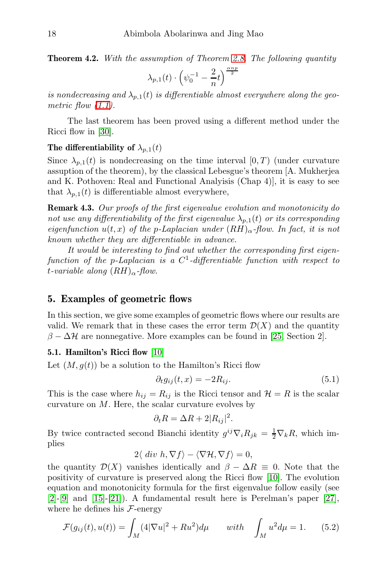<span id="page-17-0"></span>**Theorem 4.2.** With the assumption of Theorem [2.8.](#page-9-0) The following quantity

$$
\lambda_{p,1}(t) \cdot \left(\psi_0^{-1} - \frac{2}{n}t\right)^{\frac{\alpha np}{2}}
$$

is nondecreasing and  $\lambda_{p,1}(t)$  is differentiable almost everywhere along the geometric flow  $(1.1)$ .

The last theorem has been proved using a different method under the Ricci flow in [30].

# The differentiability of  $\lambda_{p,1}(t)$

Since  $\lambda_{p,1}(t)$  is nondecreasing on the time interval  $[0, T)$  (under curvature assuption of the theorem), by the classical Lebesgue's theorem [A. Mukherjea and K. Pothoven: Real and Functional Analyisis (Chap 4)], it is easy to see that  $\lambda_{n,1}(t)$  is differentiable almost everywhere,

Remark 4.3. Our proofs of the first eigenvalue evolution and monotonicity do not use any differentiability of the first eigenvalue  $\lambda_{p,1}(t)$  or its corresponding eigenfunction  $u(t, x)$  of the p-Laplacian under  $(RH)_{\alpha}$ -flow. In fact, it is not known whether they are differentiable in advance.

It would be interesting to find out whether the corresponding first eigenfunction of the p-Laplacian is a  $C^1$ -differentiable function with respect to t-variable along  $(RH)_{\alpha}$ -flow.

## 5. Examples of geometric flows

In this section, we give some examples of geometric flows where our results are valid. We remark that in these cases the error term  $\mathcal{D}(X)$  and the quantity  $\beta - \Delta \mathcal{H}$  are nonnegative. More examples can be found in [25, Section 2].

## 5.1. Hamilton's Ricci flow [10]

Let  $(M, g(t))$  be a solution to the Hamilton's Ricci flow

$$
\partial_t g_{ij}(t, x) = -2R_{ij}.\tag{5.1}
$$

This is the case where  $h_{ij} = R_{ij}$  is the Ricci tensor and  $\mathcal{H} = R$  is the scalar curvature on M. Here, the scalar curvature evolves by

$$
\partial_t R = \Delta R + 2|R_{ij}|^2.
$$

By twice contracted second Bianchi identity  $g^{ij}\nabla_i R_{jk} = \frac{1}{2}\nabla_k R$ , which implies

$$
2\langle \ div \ h, \nabla f \rangle - \langle \nabla \mathcal{H}, \nabla f \rangle = 0,
$$

the quantity  $\mathcal{D}(X)$  vanishes identically and  $\beta - \Delta R \equiv 0$ . Note that the positivity of curvature is preserved along the Ricci flow [10]. The evolution equation and monotonicity formula for the first eigenvalue follow easily (see  $[2]$ - $[9]$  and  $[15]$ - $[21]$ ). A fundamental result here is Perelman's paper  $[27]$ , where he defines his  $\mathcal{F}\text{-energy}$ 

$$
\mathcal{F}(g_{ij}(t), u(t)) = \int_M (4|\nabla u|^2 + Ru^2) d\mu \quad \text{with} \quad \int_M u^2 d\mu = 1. \tag{5.2}
$$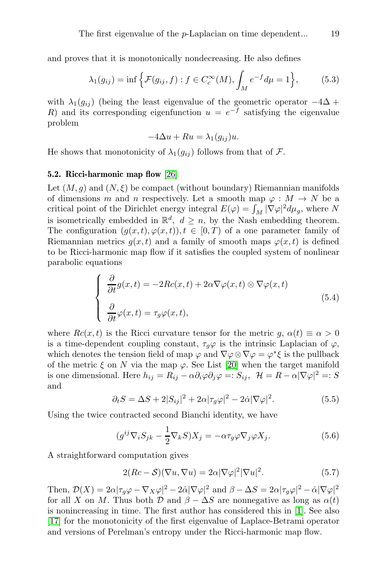and proves that it is monotonically nondecreasing. He also defines

$$
\lambda_1(g_{ij}) = \inf \left\{ \mathcal{F}(g_{ij}, f) : f \in C_c^{\infty}(M), \int_M e^{-f} d\mu = 1 \right\},\tag{5.3}
$$

with  $\lambda_1(q_{ij})$  (being the least eigenvalue of the geometric operator  $-4\Delta$  + R) and its corresponding eigenfunction  $u = e^{-f}$  satisfying the eigenvalue problem

$$
-4\Delta u + Ru = \lambda_1(g_{ij})u.
$$

He shows that monotonicity of  $\lambda_1(q_{ij})$  follows from that of F.

#### 5.2. Ricci-harmonic map flow [26]

Let  $(M, g)$  and  $(N, \xi)$  be compact (without boundary) Riemannian manifolds of dimensions m and n respectively. Let a smooth map  $\varphi : M \to N$  be a critical point of the Dirichlet energy integral  $E(\varphi) = \int_M |\nabla \varphi|^2 d\mu_g$ , where N is isometrically embedded in  $\mathbb{R}^d$ ,  $d \ge n$ , by the Nash embedding theorem. The configuration  $(g(x, t), \varphi(x, t)), t \in [0, T)$  of a one parameter family of Riemannian metrics  $q(x, t)$  and a family of smooth maps  $\varphi(x, t)$  is defined to be Ricci-harmonic map flow if it satisfies the coupled system of nonlinear parabolic equations

<span id="page-18-0"></span>
$$
\begin{cases}\n\frac{\partial}{\partial t}g(x,t) = -2Rc(x,t) + 2\alpha \nabla \varphi(x,t) \otimes \nabla \varphi(x,t) \\
\frac{\partial}{\partial t} \varphi(x,t) = \tau_g \varphi(x,t),\n\end{cases}
$$
\n(5.4)

where  $Rc(x,t)$  is the Ricci curvature tensor for the metric  $g, \alpha(t) \equiv \alpha > 0$ is a time-dependent coupling constant,  $\tau_g\varphi$  is the intrinsic Laplacian of  $\varphi$ , which denotes the tension field of map  $\varphi$  and  $\nabla \varphi \otimes \nabla \varphi = \varphi^* \xi$  is the pullback of the metric  $\xi$  on N via the map  $\varphi$ . See List [20] when the target manifold is one dimensional. Here  $h_{ij} = R_{ij} - \alpha \partial_i \varphi \partial_j \varphi =: S_{ij}, \ \mathcal{H} = R - \alpha |\nabla \varphi|^2 =: S$ and

$$
\partial_t S = \Delta S + 2|S_{ij}|^2 + 2\alpha|\tau_g\varphi|^2 - 2\dot{\alpha}|\nabla\varphi|^2. \tag{5.5}
$$

Using the twice contracted second Bianchi identity, we have

$$
(g^{ij}\nabla_i S_{jk} - \frac{1}{2}\nabla_k S)X_j = -\alpha \tau_g \varphi \nabla_j \varphi X_j.
$$
 (5.6)

A straightforward computation gives

$$
2(Re - S)(\nabla u, \nabla u) = 2\alpha |\nabla \varphi|^2 |\nabla u|^2.
$$
 (5.7)

Then,  $\mathcal{D}(X) = 2\alpha |\tau_g \varphi - \nabla_X \varphi|^2 - 2\alpha |\nabla \varphi|^2$  and  $\beta - \Delta S = 2\alpha |\tau_g \varphi|^2 - \alpha |\nabla \varphi|^2$ for all X on M. Thus both  $\mathcal{D}$  and  $\beta - \Delta S$  are nonnegative as long as  $\alpha(t)$ is nonincreasing in time. The first author has considered this in [1]. See also [17] for the monotonicity of the first eigenvalue of Laplace-Betrami operator and versions of Perelman's entropy under the Ricci-harmonic map flow.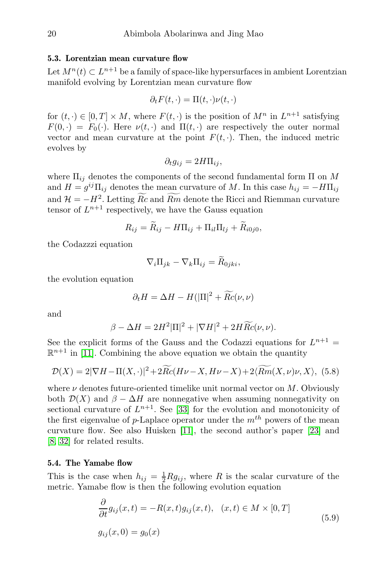#### 5.3. Lorentzian mean curvature flow

Let  $M^{n}(t) \subset L^{n+1}$  be a family of space-like hypersurfaces in ambient Lorentzian manifold evolving by Lorentzian mean curvature flow

$$
\partial_t F(t,\cdot) = \Pi(t,\cdot)\nu(t,\cdot)
$$

for  $(t, \cdot) \in [0, T] \times M$ , where  $F(t, \cdot)$  is the position of  $M^n$  in  $L^{n+1}$  satisfying  $F(0, \cdot) = F_0(\cdot)$ . Here  $\nu(t, \cdot)$  and  $\Pi(t, \cdot)$  are respectively the outer normal vector and mean curvature at the point  $F(t, \cdot)$ . Then, the induced metric evolves by

$$
\partial_t g_{ij} = 2H\Pi_{ij},
$$

where  $\Pi_{ij}$  denotes the components of the second fundamental form  $\Pi$  on M and  $H = g^{ij}\Pi_{ij}$  denotes the mean curvature of M. In this case  $h_{ij} = -H\Pi_{ij}$ and  $\mathcal{H} = -H^2$ . Letting Rc and Rm denote the Ricci and Riemman curvature tensor of  $L^{n+1}$  respectively, we have the Gauss equation

$$
R_{ij} = \overline{R}_{ij} - H\Pi_{ij} + \Pi_{il}\Pi_{lj} + \overline{R}_{i0j0},
$$

the Codazzzi equation

$$
\nabla_i \Pi_{jk} - \nabla_k \Pi_{ij} = \widetilde{R}_{0jki},
$$

the evolution equation

$$
\partial_t H = \Delta H - H(|\Pi|^2 + \overline{Rc}(\nu, \nu)
$$

and

$$
\beta - \Delta H = 2H^2 |\Pi|^2 + |\nabla H|^2 + 2H \widetilde{Rc}(\nu, \nu).
$$

See the explicit forms of the Gauss and the Codazzi equations for  $L^{n+1}$  =  $\mathbb{R}^{n+1}$  in [11]. Combining the above equation we obtain the quantity

$$
\mathcal{D}(X) = 2|\nabla H - \Pi(X, \cdot)|^2 + 2\overline{R}c(H\nu - X, H\nu - X) + 2\langle \overline{R}m(X, \nu)\nu, X \rangle, (5.8)
$$

where  $\nu$  denotes future-oriented timelike unit normal vector on M. Obviously both  $\mathcal{D}(X)$  and  $\beta - \Delta H$  are nonnegative when assuming nonnegativity on sectional curvature of  $L^{n+1}$ . See [33] for the evolution and monotonicity of the first eigenvalue of p-Laplace operator under the  $m^{th}$  powers of the mean curvature flow. See also Huisken [11], the second author's paper [23] and [8, 32] for related results.

#### 5.4. The Yamabe flow

This is the case when  $h_{ij} = \frac{1}{2} R g_{ij}$ , where R is the scalar curvature of the metric. Yamabe flow is then the following evolution equation

<span id="page-19-0"></span>
$$
\frac{\partial}{\partial t}g_{ij}(x,t) = -R(x,t)g_{ij}(x,t), \quad (x,t) \in M \times [0,T]
$$
\n
$$
g_{ij}(x,0) = g_0(x)
$$
\n(5.9)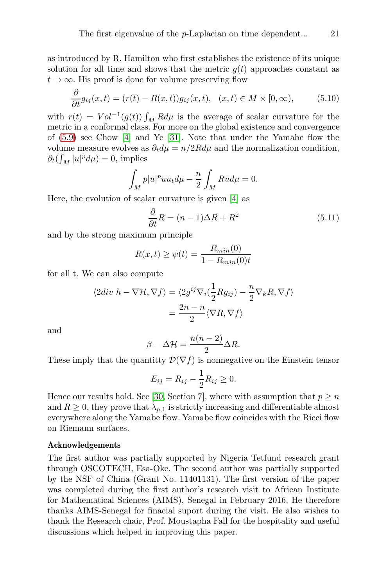as introduced by R. Hamilton who first establishes the existence of its unique solution for all time and shows that the metric  $g(t)$  approaches constant as  $t \to \infty$ . His proof is done for volume preserving flow

$$
\frac{\partial}{\partial t}g_{ij}(x,t) = (r(t) - R(x,t))g_{ij}(x,t), \quad (x,t) \in M \times [0,\infty), \tag{5.10}
$$

with  $r(t) = Vol^{-1}(g(t)) \int_M R d\mu$  is the average of scalar curvature for the metric in a conformal class. For more on the global existence and convergence of [\(5.9\)](#page-19-0) see Chow [4] and Ye [31]. Note that under the Yamabe flow the volume measure evolves as  $\partial_t d\mu = n/2Rd\mu$  and the normalization condition,  $\partial_t \left( \int_M |u|^p d\mu \right) = 0$ , implies

$$
\int_{M} p|u|^{p}uu_{t}d\mu - \frac{n}{2}\int_{M} Rud\mu = 0.
$$

Here, the evolution of scalar curvature is given [4] as

$$
\frac{\partial}{\partial t}R = (n-1)\Delta R + R^2 \tag{5.11}
$$

and by the strong maximum principle

$$
R(x,t) \ge \psi(t) = \frac{R_{min}(0)}{1 - R_{min}(0)t}
$$

for all t. We can also compute

$$
\langle 2div \ h - \nabla \mathcal{H}, \nabla f \rangle = \langle 2g^{ij} \nabla_i \left( \frac{1}{2} R g_{ij} \right) - \frac{n}{2} \nabla_k R, \nabla f \rangle
$$

$$
= \frac{2n - n}{2} \langle \nabla R, \nabla f \rangle
$$

and

$$
\beta - \Delta \mathcal{H} = \frac{n(n-2)}{2} \Delta R.
$$

These imply that the quantity  $\mathcal{D}(\nabla f)$  is nonnegative on the Einstein tensor

$$
E_{ij} = R_{ij} - \frac{1}{2}R_{ij} \ge 0.
$$

Hence our results hold. See [30, Section 7], where with assumption that  $p \geq n$ and  $R \geq 0$ , they prove that  $\lambda_{p,1}$  is strictly increasing and differentiable almost everywhere along the Yamabe flow. Yamabe flow coincides with the Ricci flow on Riemann surfaces.

#### Acknowledgements

The first author was partially supported by Nigeria Tetfund research grant through OSCOTECH, Esa-Oke. The second author was partially supported by the NSF of China (Grant No. 11401131). The first version of the paper was completed during the first author's research visit to African Institute for Mathematical Sciences (AIMS), Senegal in February 2016. He therefore thanks AIMS-Senegal for finacial suport during the visit. He also wishes to thank the Research chair, Prof. Moustapha Fall for the hospitality and useful discussions which helped in improving this paper.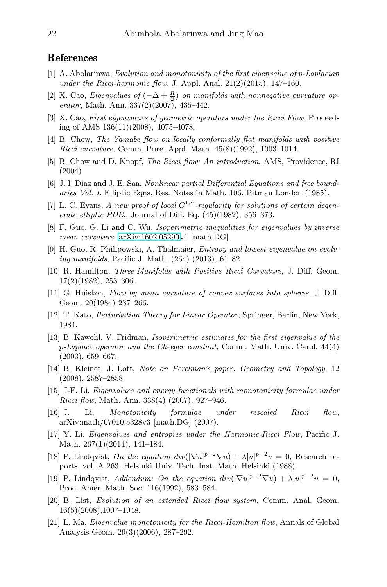# References

- [1] A. Abolarinwa, Evolution and monotonicity of the first eigenvalue of p-Laplacian under the Ricci-harmonic flow, J. Appl. Anal.  $21(2)(2015)$ ,  $147-160$ .
- [2] X. Cao, Eigenvalues of  $(-\Delta + \frac{R}{2})$  on manifolds with nonnegative curvature operator, Math. Ann. 337(2)(2007), 435–442.
- [3] X. Cao, First eigenvalues of geometric operators under the Ricci Flow, Proceeding of AMS 136(11)(2008), 4075–4078.
- [4] B. Chow, The Yamabe flow on locally conformally flat manifolds with positive Ricci curvature, Comm. Pure. Appl. Math. 45(8)(1992), 1003–1014.
- [5] B. Chow and D. Knopf, The Ricci flow: An introduction. AMS, Providence, RI (2004)
- [6] J. I. Diaz and J. E. Saa, Nonlinear partial Differential Equations and free boundaries Vol. I. Elliptic Eqns, Res. Notes in Math. 106. Pitman London (1985).
- [7] L. C. Evans, A new proof of local  $C^{1,\alpha}$ -regularity for solutions of certain degenerate elliptic PDE., Journal of Diff. Eq.  $(45)(1982)$ , 356–373.
- [8] F. Guo, G. Li and C. Wu, Isoperimetric inequalities for eigenvalues by inverse mean curvature, [arXiv:1602.05290v](http://arxiv.org/abs/1602.05290)1 [math.DG].
- [9] H. Guo, R. Philipowski, A. Thalmaier, Entropy and lowest eigenvalue on evolving manifolds, Pacific J. Math. (264) (2013), 61–82.
- [10] R. Hamilton, Three-Manifolds with Positive Ricci Curvature, J. Diff. Geom.  $17(2)(1982), 253-306.$
- [11] G. Huisken, Flow by mean curvature of convex surfaces into spheres, J. Diff. Geom. 20(1984) 237–266.
- [12] T. Kato, Perturbation Theory for Linear Operator, Springer, Berlin, New York, 1984.
- [13] B. Kawohl, V. Fridman, Isoperimetric estimates for the first eigenvalue of the p-Laplace operator and the Cheeger constant, Comm. Math. Univ. Carol. 44(4) (2003), 659–667.
- [14] B. Kleiner, J. Lott, Note on Perelman's paper. Geometry and Topology, 12 (2008), 2587–2858.
- [15] J-F. Li, Eigenvalues and energy functionals with monotonicity formulae under Ricci flow, Math. Ann. 338(4) (2007), 927–946.
- [16] J. Li, Monotonicity formulae under rescaled Ricci flow, arXiv:math/07010.5328v3 [math.DG] (2007).
- [17] Y. Li, Eigenvalues and entropies under the Harmonic-Ricci Flow, Pacific J. Math. 267(1)(2014), 141–184.
- [18] P. Lindqvist, On the equation  $div(|\nabla u|^{p-2}\nabla u) + \lambda |u|^{p-2}u = 0$ , Research reports, vol. A 263, Helsinki Univ. Tech. Inst. Math. Helsinki (1988).
- [19] P. Lindqvist, Addendum: On the equation  $div(|\nabla u|^{p-2}\nabla u) + \lambda |u|^{p-2}u = 0$ , Proc. Amer. Math. Soc. 116(1992), 583–584.
- [20] B. List, Evolution of an extended Ricci flow system, Comm. Anal. Geom. 16(5)(2008),1007–1048.
- [21] L. Ma, Eigenvalue monotonicity for the Ricci-Hamilton flow, Annals of Global Analysis Geom. 29(3)(2006), 287–292.